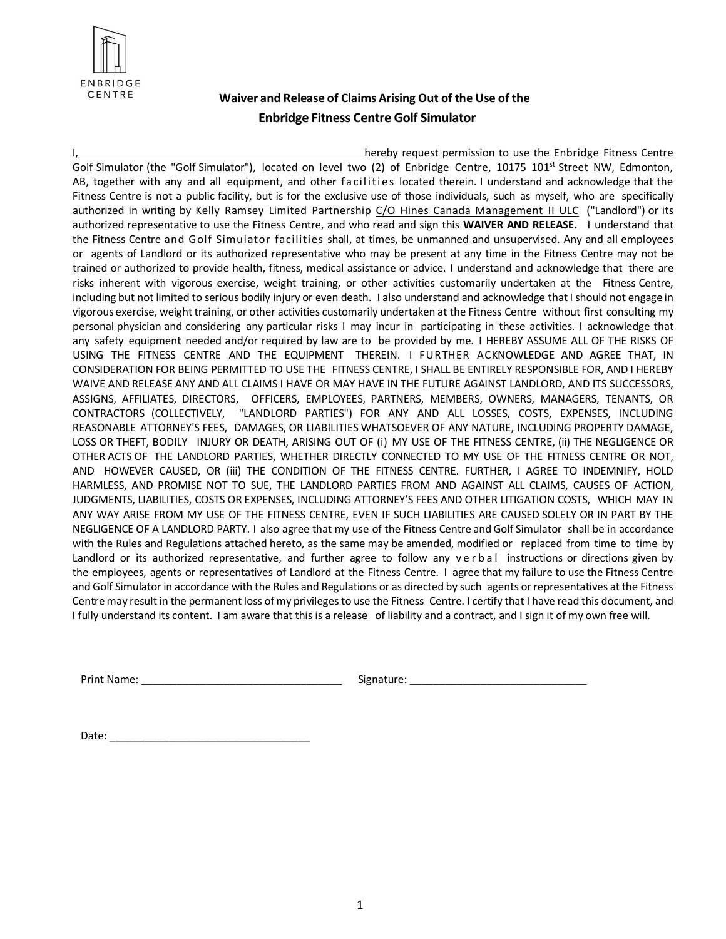

## **Waiver and Release of Claims Arising Out of the Use of the Enbridge Fitness Centre Golf Simulator**

hereby request permission to use the Enbridge Fitness Centre Golf Simulator (the "Golf Simulator"), located on level two (2) of Enbridge Centre, 10175 101<sup>st</sup> Street NW, Edmonton, AB, together with any and all equipment, and other facilities located therein. I understand and acknowledge that the Fitness Centre is not a public facility, but is for the exclusive use of those individuals, such as myself, who are specifically authorized in writing by Kelly Ramsey Limited Partnership C/O Hines Canada Management II ULC ("Landlord") or its authorized representative to use the Fitness Centre, and who read and sign this **WAIVER AND RELEASE.** I understand that the Fitness Centre and Golf Simulator facilities shall, at times, be unmanned and unsupervised. Any and all employees or agents of Landlord or its authorized representative who may be present at any time in the Fitness Centre may not be trained or authorized to provide health, fitness, medical assistance or advice. I understand and acknowledge that there are risks inherent with vigorous exercise, weight training, or other activities customarily undertaken at the Fitness Centre, including but not limited to serious bodily injury or even death. I also understand and acknowledge that I should not engage in vigorous exercise, weighttraining, or other activities customarily undertaken at the Fitness Centre without first consulting my personal physician and considering any particular risks I may incur in participating in these activities. I acknowledge that any safety equipment needed and/or required by law are to be provided by me. I HEREBY ASSUME ALL OF THE RISKS OF USING THE FITNESS CENTRE AND THE EQUIPMENT THEREIN. I FURTHER ACKNOWLEDGE AND AGREE THAT, IN CONSIDERATION FOR BEING PERMITTED TO USE THE FITNESS CENTRE, I SHALL BE ENTIRELY RESPONSIBLE FOR, AND I HEREBY WAIVE AND RELEASE ANY AND ALL CLAIMS I HAVE OR MAY HAVE IN THE FUTURE AGAINST LANDLORD, AND ITS SUCCESSORS, ASSIGNS, AFFILIATES, DIRECTORS, OFFICERS, EMPLOYEES, PARTNERS, MEMBERS, OWNERS, MANAGERS, TENANTS, OR CONTRACTORS (COLLECTIVELY, "LANDLORD PARTIES") FOR ANY AND ALL LOSSES, COSTS, EXPENSES, INCLUDING REASONABLE ATTORNEY'S FEES, DAMAGES, OR LIABILITIES WHATSOEVER OF ANY NATURE, INCLUDING PROPERTY DAMAGE, LOSS OR THEFT, BODILY INJURY OR DEATH, ARISING OUT OF (i) MY USE OF THE FITNESS CENTRE, (ii) THE NEGLIGENCE OR OTHER ACTS OF THE LANDLORD PARTIES, WHETHER DIRECTLY CONNECTED TO MY USE OF THE FITNESS CENTRE OR NOT, AND HOWEVER CAUSED, OR (iii) THE CONDITION OF THE FITNESS CENTRE. FURTHER, I AGREE TO INDEMNIFY, HOLD HARMLESS, AND PROMISE NOT TO SUE, THE LANDLORD PARTIES FROM AND AGAINST ALL CLAIMS, CAUSES OF ACTION, JUDGMENTS, LIABILITIES, COSTS OR EXPENSES, INCLUDING ATTORNEY'S FEES AND OTHER LITIGATION COSTS, WHICH MAY IN ANY WAY ARISE FROM MY USE OF THE FITNESS CENTRE, EVEN IF SUCH LIABILITIES ARE CAUSED SOLELY OR IN PART BY THE NEGLIGENCE OF A LANDLORD PARTY. I also agree that my use of the Fitness Centre and Golf Simulator shall be in accordance with the Rules and Regulations attached hereto, as the same may be amended, modified or replaced from time to time by Landlord or its authorized representative, and further agree to follow any verbal instructions or directions given by the employees, agents or representatives of Landlord at the Fitness Centre. I agree that my failure to use the Fitness Centre and Golf Simulator in accordance with the Rules and Regulations or as directed by such agents or representatives at the Fitness Centre may result in the permanent loss of my privileges to use the Fitness Centre. I certify that I have read this document, and I fully understand its content. I am aware that this is a release of liability and a contract, and I sign it of my own free will.

Print Name: \_\_\_\_\_\_\_\_\_\_\_\_\_\_\_\_\_\_\_\_\_\_\_\_\_\_\_\_\_\_\_\_\_\_ Signature: \_\_\_\_\_\_\_\_\_\_\_\_\_\_\_\_\_\_\_\_\_\_\_\_\_\_\_\_\_\_

Date:  $\_\_$